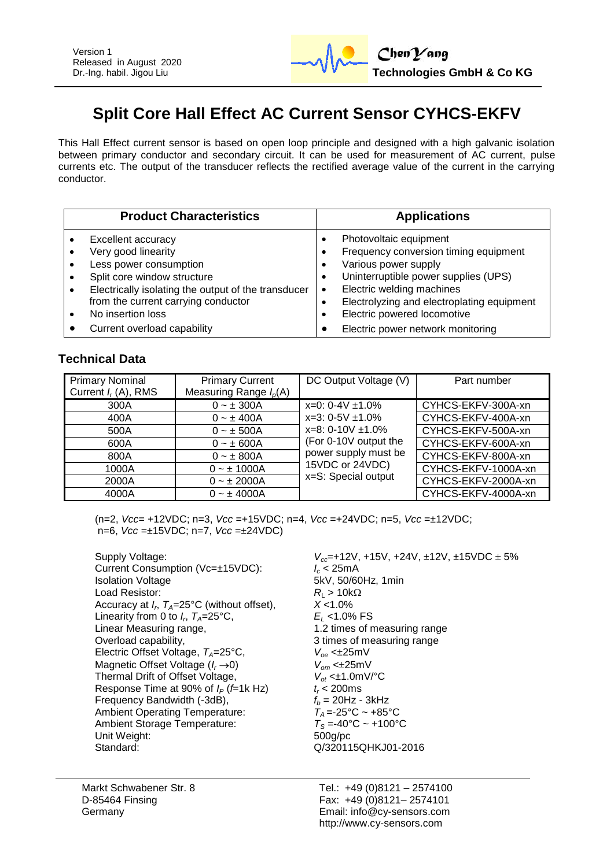

# **Split Core Hall Effect AC Current Sensor CYHCS-EKFV**

This Hall Effect current sensor is based on open loop principle and designed with a high galvanic isolation between primary conductor and secondary circuit. It can be used for measurement of AC current, pulse currents etc. The output of the transducer reflects the rectified average value of the current in the carrying conductor.

| <b>Product Characteristics</b>                      | <b>Applications</b>                        |
|-----------------------------------------------------|--------------------------------------------|
| Excellent accuracy                                  | Photovoltaic equipment                     |
| Very good linearity                                 | Frequency conversion timing equipment      |
| Less power consumption                              | Various power supply                       |
| Split core window structure                         | Uninterruptible power supplies (UPS)       |
| Electrically isolating the output of the transducer | Electric welding machines                  |
| $\bullet$                                           | $\bullet$                                  |
| from the current carrying conductor                 | Electrolyzing and electroplating equipment |
| No insertion loss                                   | Electric powered locomotive                |
| Current overload capability                         | Electric power network monitoring          |

## **Technical Data**

| <b>Primary Nominal</b><br>Current $I_r(A)$ , RMS                | <b>Primary Current</b><br>Measuring Range $I_p(A)$                                                                                              | DC Output Voltage (V)                                                                                                                                               | Part number                                                                                                                                                                     |
|-----------------------------------------------------------------|-------------------------------------------------------------------------------------------------------------------------------------------------|---------------------------------------------------------------------------------------------------------------------------------------------------------------------|---------------------------------------------------------------------------------------------------------------------------------------------------------------------------------|
| 300A<br>400A<br>500A<br>600A<br>800A<br>1000A<br>2000A<br>4000A | $0 - \pm 300A$<br>$0 - \pm 400A$<br>$0 - \pm 500A$<br>$0 - \pm 600A$<br>$0 - \pm 800A$<br>$0 - \pm 1000A$<br>$0 - \pm 2000A$<br>$0 - \pm 4000A$ | $x=0$ : 0-4V $\pm$ 1.0%<br>$x=3:0-5V \pm 1.0\%$<br>$x=8:0-10V \pm 1.0\%$<br>(For 0-10V output the<br>power supply must be<br>15VDC or 24VDC)<br>x=S: Special output | CYHCS-EKFV-300A-xn<br>CYHCS-EKFV-400A-xn<br>CYHCS-EKFV-500A-xn<br>CYHCS-EKFV-600A-xn<br>CYHCS-EKFV-800A-xn<br>CYHCS-EKFV-1000A-xn<br>CYHCS-EKFV-2000A-xn<br>CYHCS-EKFV-4000A-xn |

(n=2, *Vcc*= +12VDC; n=3, *Vcc* =+15VDC; n=4, *Vcc* =+24VDC; n=5, *Vcc* =±12VDC; n=6, *Vcc* =±15VDC; n=7, *Vcc* =±24VDC)

Supply Voltage: *V***<sub>cc</sub>**=+12V, +15V, +24V, ±12V, ±15VDC ± 5% Current Consumption (Vc=±15VDC):  $I_c < 25 \text{mA}$ <br>Isolation Voltage 5kV, 50/60 Load Resistor:  $R_L > 10k\Omega$ <br>Accuracy at  $I_c$   $T_a = 25^{\circ}$ C (without offset).  $X < 1.0\%$ Accuracy at *I<sup>r</sup>* , *TA*=25°C (without offset), *X* <1.0% Linearity from 0 to  $I_r$ ,  $T_A = 25^\circ \text{C}$ ,<br>Linear Measuring range, Linear Measuring range,<br>
Overload capability,<br>
2 times of measuring range<br>
3 times of measuring range Electric Offset Voltage,  $T_A = 25^{\circ}C$ ,  $V_{oe} \leq \pm 25 \text{mV}$ Magnetic Offset Voltage ( $I_r \rightarrow 0$ )  $V_{om} < \pm 25 \text{mV}$ <br>Thermal Drift of Offset Voltage,  $V_{of} < \pm 1.0 \text{mV}$ <sup>o</sup>C Thermal Drift of Offset Voltage, *V*<sub>ot</sub> <±1.0m<br>Response Time at 90% of *I<sub>p</sub>* (*f*=1k Hz) *t* < 200ms Response Time at 90% of  $I_P$  (*f*=1k Hz)  $t_r$  < 200ms<br>Frequency Bandwidth (-3dB),  $t_b$  = 20Hz - 3kHz Frequency Bandwidth (-3dB),  $f_b = 20$ Hz - 3kHz<br>Ambient Operating Temperature:  $T_A = -25^\circ \text{C} \sim +85^\circ \text{C}$ Ambient Operating Temperature:  $T_A = -25^{\circ}C \sim +85^{\circ}C$ <br>Ambient Storage Temperature:  $T_S = -40^{\circ}C \sim +100^{\circ}C$ Ambient Storage Temperature: Unit Weight: 500g/pc Standard: Q/320115QHKJ01-2016

5kV, 50/60Hz, 1min  $E_1$  <1.0% FS 3 times of measuring range